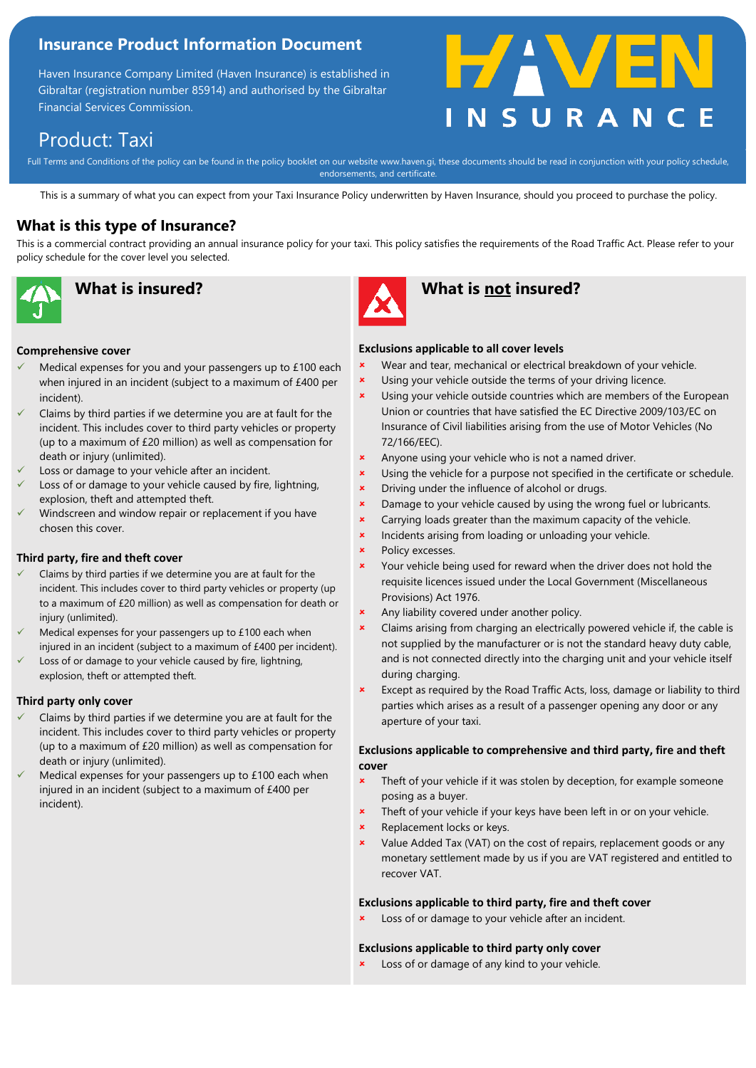### **Insurance Product Information Document**

Haven Insurance Company Limited (Haven Insurance) is established in Gibraltar (registration number 85914) and authorised by the Gibraltar Financial Services Commission.



# Product: Taxi

Full Terms and Conditions of the policy can be found in the policy booklet on our website www.haven.gi, these documents should be read in conjunction with your policy schedule, endorsements, and certificate.

This is a summary of what you can expect from your Taxi Insurance Policy underwritten by Haven Insurance, should you proceed to purchase the policy.

### **What is this type of Insurance?**

This is a commercial contract providing an annual insurance policy for your taxi. This policy satisfies the requirements of the Road Traffic Act. Please refer to your policy schedule for the cover level you selected.





## **What is insured? What is not insured?**

#### **Comprehensive cover**

- Medical expenses for you and your passengers up to £100 each when injured in an incident (subject to a maximum of £400 per incident).
- Claims by third parties if we determine you are at fault for the incident. This includes cover to third party vehicles or property (up to a maximum of £20 million) as well as compensation for death or injury (unlimited).
- Loss or damage to your vehicle after an incident.
- Loss of or damage to your vehicle caused by fire, lightning, explosion, theft and attempted theft.
- Windscreen and window repair or replacement if you have chosen this cover.

#### **Third party, fire and theft cover**

- Claims by third parties if we determine you are at fault for the incident. This includes cover to third party vehicles or property (up to a maximum of £20 million) as well as compensation for death or injury (unlimited).
- Medical expenses for your passengers up to  $£100$  each when injured in an incident (subject to a maximum of £400 per incident).
- Loss of or damage to your vehicle caused by fire, lightning, explosion, theft or attempted theft.

#### **Third party only cover**

- Claims by third parties if we determine you are at fault for the incident. This includes cover to third party vehicles or property (up to a maximum of £20 million) as well as compensation for death or injury (unlimited).
- Medical expenses for your passengers up to £100 each when injured in an incident (subject to a maximum of £400 per incident).
- **Exclusions applicable to all cover levels**
- Wear and tear, mechanical or electrical breakdown of your vehicle.
- Using your vehicle outside the terms of your driving licence.
- Using your vehicle outside countries which are members of the European Union or countries that have satisfied the EC Directive 2009/103/EC on Insurance of Civil liabilities arising from the use of Motor Vehicles (No 72/166/EEC).
- **\*** Anyone using your vehicle who is not a named driver.
- Using the vehicle for a purpose not specified in the certificate or schedule.
- **\*** Driving under the influence of alcohol or drugs.
- **x** Damage to your vehicle caused by using the wrong fuel or lubricants.
- **x** Carrying loads greater than the maximum capacity of the vehicle.
- **\*** Incidents arising from loading or unloading your vehicle.
- Policy excesses.
- Your vehicle being used for reward when the driver does not hold the requisite licences issued under the Local Government (Miscellaneous Provisions) Act 1976.
- Any liability covered under another policy.
- Claims arising from charging an electrically powered vehicle if, the cable is not supplied by the manufacturer or is not the standard heavy duty cable, and is not connected directly into the charging unit and your vehicle itself during charging.
- **\*** Except as required by the Road Traffic Acts, loss, damage or liability to third parties which arises as a result of a passenger opening any door or any aperture of your taxi.

#### **Exclusions applicable to comprehensive and third party, fire and theft cover**

- Theft of your vehicle if it was stolen by deception, for example someone posing as a buyer.
- Theft of your vehicle if your keys have been left in or on your vehicle.
- Replacement locks or keys.
- Value Added Tax (VAT) on the cost of repairs, replacement goods or any monetary settlement made by us if you are VAT registered and entitled to recover VAT.

#### **Exclusions applicable to third party, fire and theft cover**

Loss of or damage to your vehicle after an incident.

#### **Exclusions applicable to third party only cover**

Loss of or damage of any kind to your vehicle.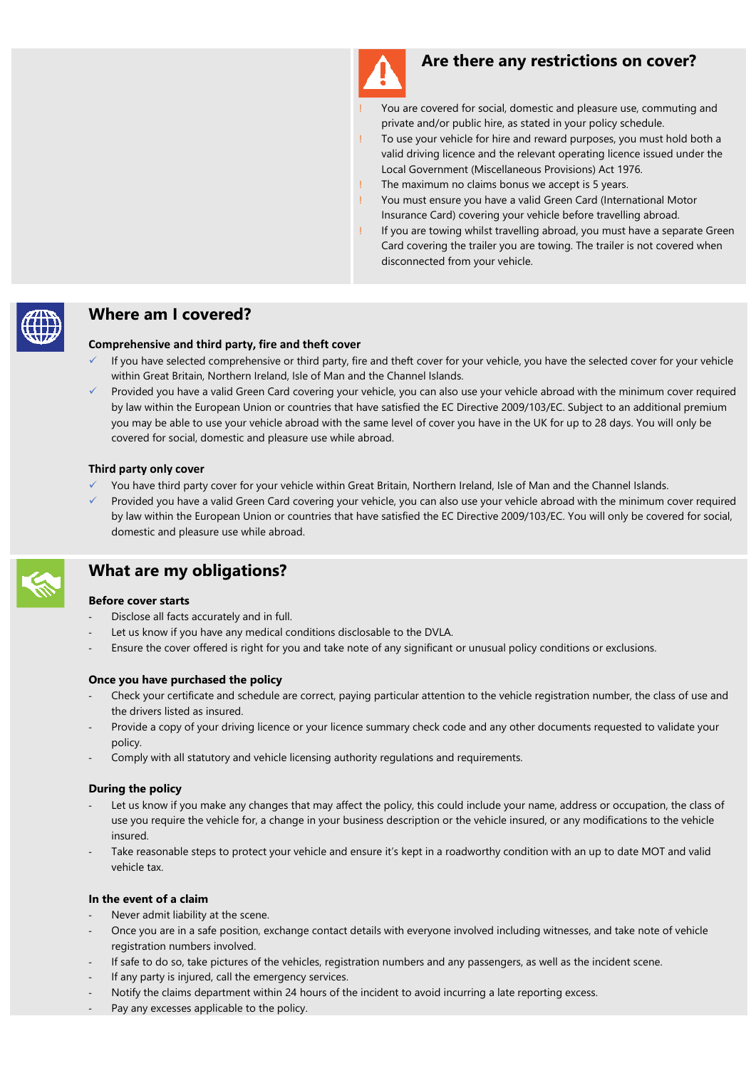

### **Are there any restrictions on cover?**

- You are covered for social, domestic and pleasure use, commuting and private and/or public hire, as stated in your policy schedule.
- To use your vehicle for hire and reward purposes, you must hold both a valid driving licence and the relevant operating licence issued under the Local Government (Miscellaneous Provisions) Act 1976.
- The maximum no claims bonus we accept is 5 years.
- You must ensure you have a valid Green Card (International Motor Insurance Card) covering your vehicle before travelling abroad.
- If you are towing whilst travelling abroad, you must have a separate Green Card covering the trailer you are towing. The trailer is not covered when disconnected from your vehicle.



### **Where am I covered?**

#### **Comprehensive and third party, fire and theft cover**

- If you have selected comprehensive or third party, fire and theft cover for your vehicle, you have the selected cover for your vehicle within Great Britain, Northern Ireland, Isle of Man and the Channel Islands.
- Provided you have a valid Green Card covering your vehicle, you can also use your vehicle abroad with the minimum cover required by law within the European Union or countries that have satisfied the EC Directive 2009/103/EC. Subject to an additional premium you may be able to use your vehicle abroad with the same level of cover you have in the UK for up to 28 days. You will only be covered for social, domestic and pleasure use while abroad.

#### **Third party only cover**

- You have third party cover for your vehicle within Great Britain, Northern Ireland, Isle of Man and the Channel Islands.
- Provided you have a valid Green Card covering your vehicle, you can also use your vehicle abroad with the minimum cover required by law within the European Union or countries that have satisfied the EC Directive 2009/103/EC. You will only be covered for social, domestic and pleasure use while abroad.



# **What are my obligations?**

#### **Before cover starts**

- Disclose all facts accurately and in full.
- Let us know if you have any medical conditions disclosable to the DVLA.
- Ensure the cover offered is right for you and take note of any significant or unusual policy conditions or exclusions.

#### **Once you have purchased the policy**

- Check your certificate and schedule are correct, paying particular attention to the vehicle registration number, the class of use and the drivers listed as insured.
- Provide a copy of your driving licence or your licence summary check code and any other documents requested to validate your policy.
- Comply with all statutory and vehicle licensing authority regulations and requirements.

#### **During the policy**

- Let us know if you make any changes that may affect the policy, this could include your name, address or occupation, the class of use you require the vehicle for, a change in your business description or the vehicle insured, or any modifications to the vehicle insured.
- Take reasonable steps to protect your vehicle and ensure it's kept in a roadworthy condition with an up to date MOT and valid vehicle tax.

#### **In the event of a claim**

- Never admit liability at the scene.
- Once you are in a safe position, exchange contact details with everyone involved including witnesses, and take note of vehicle registration numbers involved.
- If safe to do so, take pictures of the vehicles, registration numbers and any passengers, as well as the incident scene.
- If any party is injured, call the emergency services.
- Notify the claims department within 24 hours of the incident to avoid incurring a late reporting excess.
- Pay any excesses applicable to the policy.